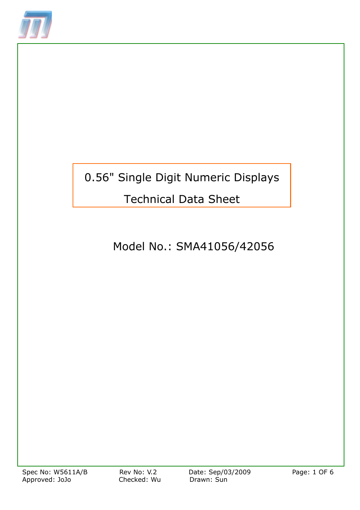

# 0.56" Single Digit Numeric Displays

## Technical Data Sheet

## Model No.: SMA41056/42056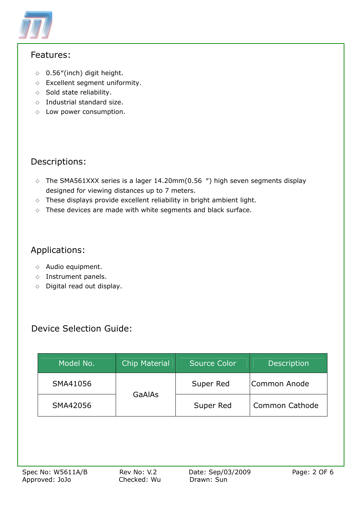

### Features:

- $\lozenge$  0.56"(inch) digit height.
- $\diamond$  Excellent segment uniformity.
- $\Diamond$  Sold state reliability.
- $\diamond$  Industrial standard size.
- $\diamond$  Low power consumption.

### Descriptions:

- $\circ$  The SMA561XXX series is a lager 14.20mm(0.56  $\%$ ) high seven segments display designed for viewing distances up to 7 meters.
- $\Diamond$  These displays provide excellent reliability in bright ambient light.
- $\diamond$  These devices are made with white segments and black surface.

## Applications:

- $\diamond$  Audio equipment.
- ◇ Instrument panels.
- $\diamond$  Digital read out display.

## Device Selection Guide:

| Model No. | <b>Chip Material</b> | <b>Source Color</b> | <b>Description</b>    |
|-----------|----------------------|---------------------|-----------------------|
| SMA41056  |                      | Super Red           | Common Anode          |
| SMA42056  | <b>GaAlAs</b>        | Super Red           | <b>Common Cathode</b> |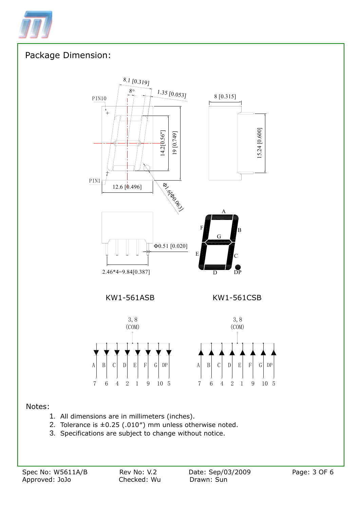

### Package Dimension:



#### Notes:

- 1. All dimensions are in millimeters (inches).
- 2. Tolerance is  $\pm 0.25$  (.010") mm unless otherwise noted.
- 3. Specifications are subject to change without notice.

7 6 4 2 1 9 10 5

7 6 4 2 1 9 10 5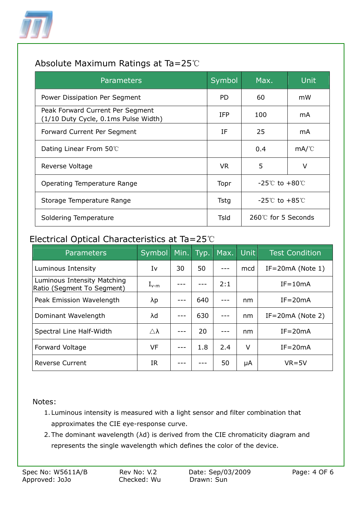

## Absolute Maximum Ratings at Ta=25℃

| <b>Parameters</b>                                                        | Symbol     | Max.                           | Unit |
|--------------------------------------------------------------------------|------------|--------------------------------|------|
| Power Dissipation Per Segment                                            | <b>PD</b>  | 60                             | mW   |
| Peak Forward Current Per Segment<br>(1/10 Duty Cycle, 0.1ms Pulse Width) | <b>IFP</b> | 100                            | mA   |
| Forward Current Per Segment                                              | IF         | 25                             | mA   |
| Dating Linear From $50^{\circ}$                                          |            | 0.4                            | mA/C |
| Reverse Voltage                                                          | VR.        | 5                              | v    |
| Operating Temperature Range                                              | Topr       | $-25^{\circ}$ to $+80^{\circ}$ |      |
| Storage Temperature Range                                                | Tstg       | $-25^{\circ}$ to $+85^{\circ}$ |      |
| Soldering Temperature                                                    | Tsld       | 260℃ for 5 Seconds             |      |

## Electrical Optical Characteristics at Ta=25℃

| Parameters                                                | Symbol                | Min. | Typ. | Max. | <b>Unit</b> | <b>Test Condition</b> |
|-----------------------------------------------------------|-----------------------|------|------|------|-------------|-----------------------|
| Luminous Intensity                                        | Iv                    | 30   | 50   |      | mcd         | $IF = 20mA$ (Note 1)  |
| Luminous Intensity Matching<br>Ratio (Segment To Segment) | $I_{\nu-m}$           |      |      | 2:1  |             | $IF = 10mA$           |
| Peak Emission Wavelength                                  | λp                    |      | 640  |      | nm          | $IF = 20mA$           |
| Dominant Wavelength                                       | λd                    |      | 630  |      | nm          | $IF = 20mA$ (Note 2)  |
| Spectral Line Half-Width                                  | $\triangle$ $\lambda$ |      | 20   |      | nm          | $IF = 20mA$           |
| <b>Forward Voltage</b>                                    | <b>VF</b>             |      | 1.8  | 2.4  | V           | $IF = 20mA$           |
| <b>Reverse Current</b>                                    | IR                    |      |      | 50   | μA          | $VR = 5V$             |

Notes:

- 1. Luminous intensity is measured with a light sensor and filter combination that approximates the CIE eye-response curve.
- 2.The dominant wavelength (λd) is derived from the CIE chromaticity diagram and represents the single wavelength which defines the color of the device.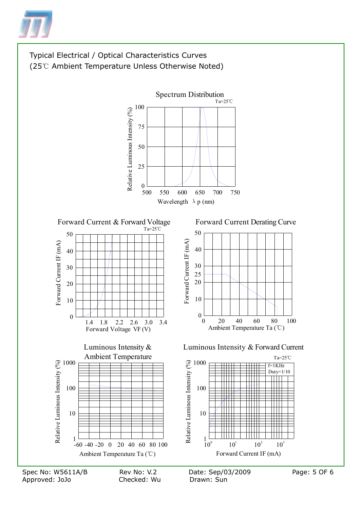